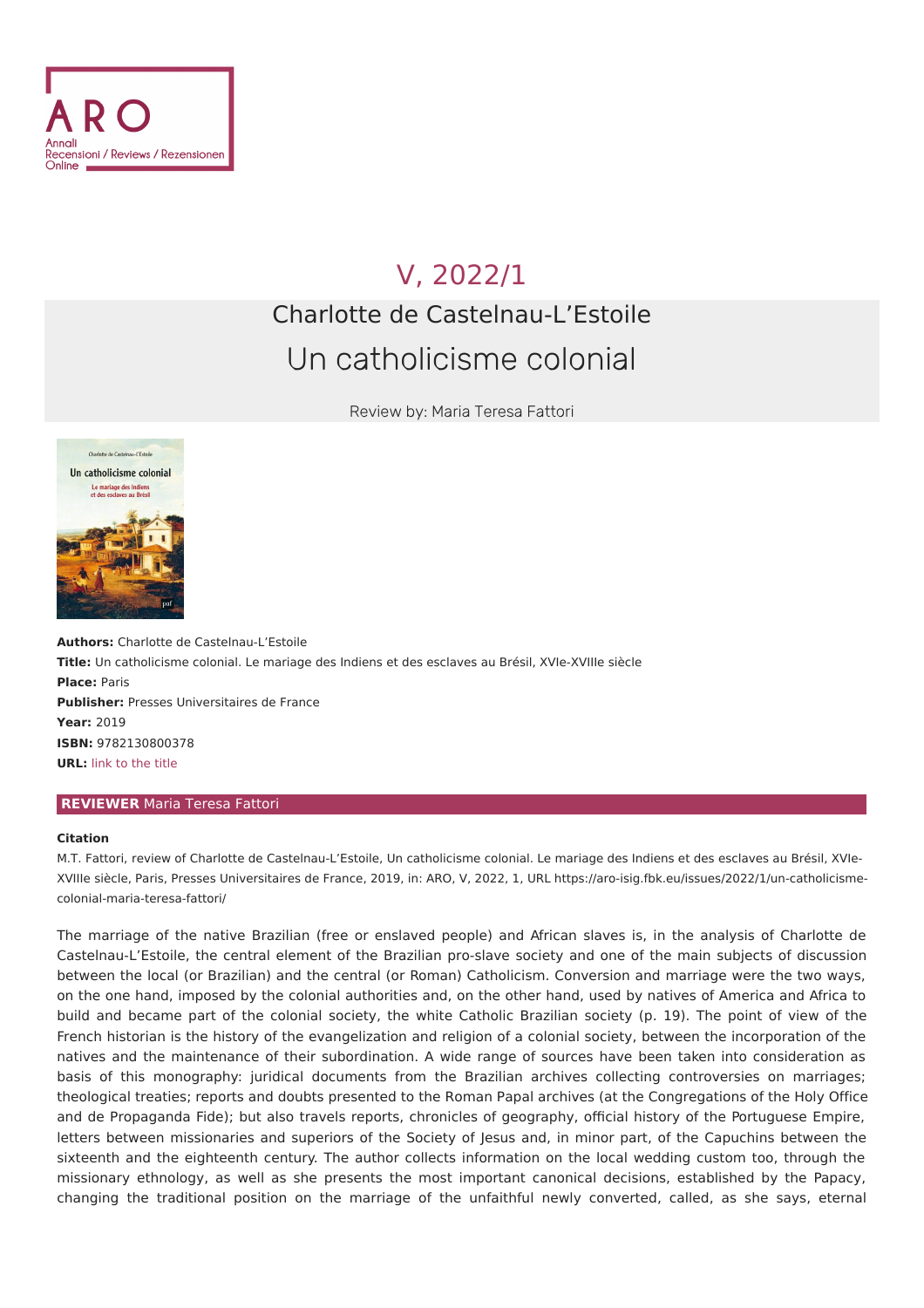

## V, [2022/1](file:///issues/2022/1/) Charlotte de Castelnau-L'Estoile Un catholicisme colonial

Review by: Maria Teresa Fattori



**Authors:** Charlotte de Castelnau-L'Estoile **Title:** Un catholicisme colonial. Le mariage des Indiens et des esclaves au Brésil, XVIe-XVIIIe siècle **Place:** Paris **Publisher:** Presses Universitaires de France **Year:** 2019 **ISBN:** 9782130800378 **URL:** link to the [title](https://www.puf.com/content/Un_catholicisme_colonial)

## **REVIEWER** Maria Teresa Fattori

## **Citation**

M.T. Fattori, review of Charlotte de Castelnau-L'Estoile, Un catholicisme colonial. Le mariage des Indiens et des esclaves au Brésil, XVIe-XVIIIe siècle, Paris, Presses Universitaires de France, 2019, in: ARO, V, 2022, 1, URL [https://aro-isig.fbk.eu/issues/2022/1/un-catholicisme](https://aro-isig.fbk.eu/issues/2022/1/un-catholicisme-colonial-maria-teresa-fattori/)colonial-maria-teresa-fattori/

The marriage of the native Brazilian (free or enslaved people) and African slaves is, in the analysis of Charlotte de Castelnau-L'Estoile, the central element of the Brazilian pro-slave society and one of the main subjects of discussion between the local (or Brazilian) and the central (or Roman) Catholicism. Conversion and marriage were the two ways, on the one hand, imposed by the colonial authorities and, on the other hand, used by natives of America and Africa to build and became part of the colonial society, the white Catholic Brazilian society (p. 19). The point of view of the French historian is the history of the evangelization and religion of a colonial society, between the incorporation of the natives and the maintenance of their subordination. A wide range of sources have been taken into consideration as basis of this monography: juridical documents from the Brazilian archives collecting controversies on marriages; theological treaties; reports and doubts presented to the Roman Papal archives (at the Congregations of the Holy Office and de Propaganda Fide); but also travels reports, chronicles of geography, official history of the Portuguese Empire, letters between missionaries and superiors of the Society of Jesus and, in minor part, of the Capuchins between the sixteenth and the eighteenth century. The author collects information on the local wedding custom too, through the missionary ethnology, as well as she presents the most important canonical decisions, established by the Papacy, changing the traditional position on the marriage of the unfaithful newly converted, called, as she says, eternal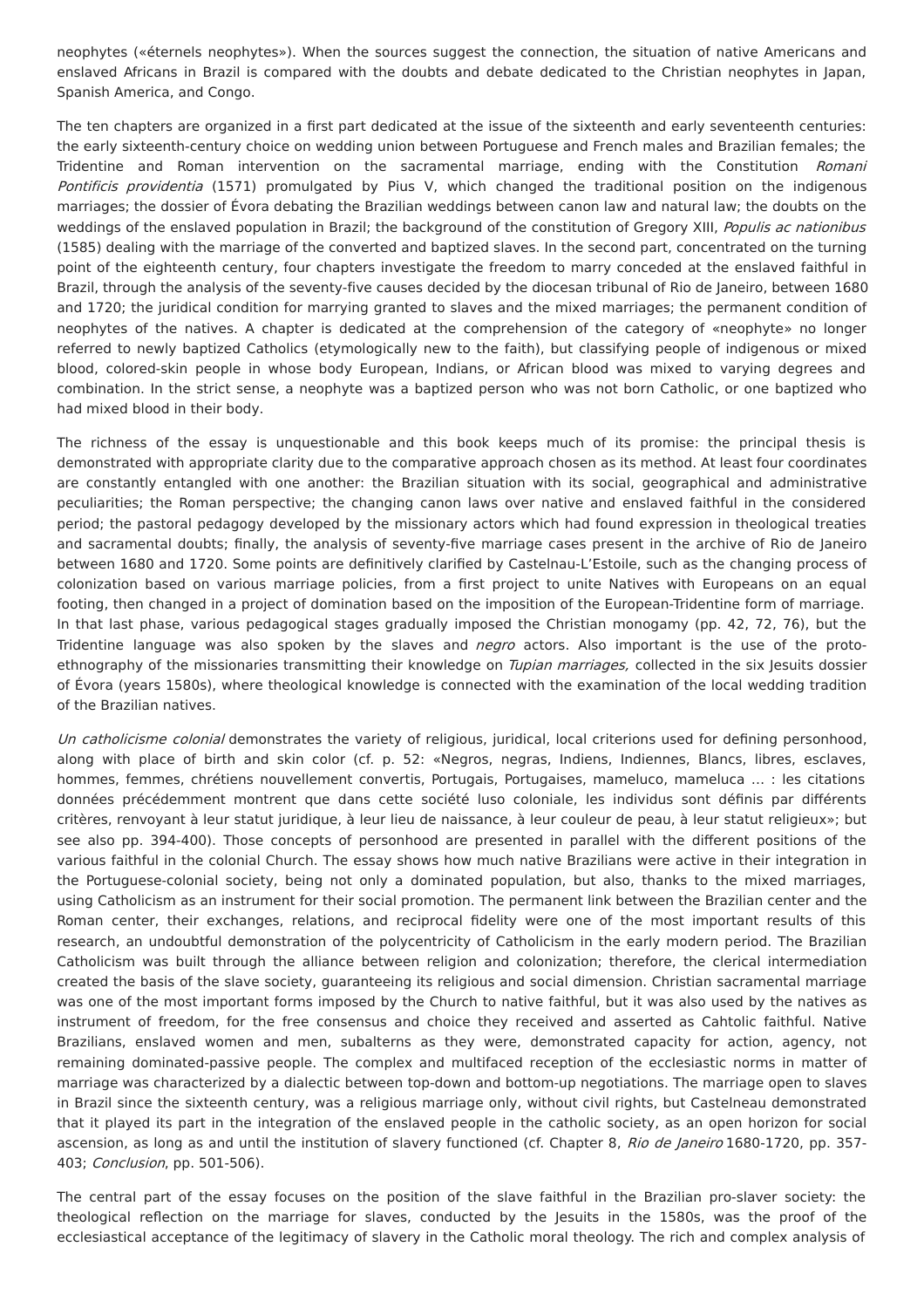neophytes («éternels neophytes»). When the sources suggest the connection, the situation of native Americans and enslaved Africans in Brazil is compared with the doubts and debate dedicated to the Christian neophytes in Japan, Spanish America, and Congo.

The ten chapters are organized in a first part dedicated at the issue of the sixteenth and early seventeenth centuries: the early sixteenth-century choice on wedding union between Portuguese and French males and Brazilian females; the Tridentine and Roman intervention on the sacramental marriage, ending with the Constitution Romani Pontificis providentia (1571) promulgated by Pius V, which changed the traditional position on the indigenous marriages; the dossier of Évora debating the Brazilian weddings between canon law and natural law; the doubts on the weddings of the enslaved population in Brazil; the background of the constitution of Gregory XIII, Populis ac nationibus (1585) dealing with the marriage of the converted and baptized slaves. In the second part, concentrated on the turning point of the eighteenth century, four chapters investigate the freedom to marry conceded at the enslaved faithful in Brazil, through the analysis of the seventy-five causes decided by the diocesan tribunal of Rio de Janeiro, between 1680 and 1720; the juridical condition for marrying granted to slaves and the mixed marriages; the permanent condition of neophytes of the natives. A chapter is dedicated at the comprehension of the category of «neophyte» no longer referred to newly baptized Catholics (etymologically new to the faith), but classifying people of indigenous or mixed blood, colored-skin people in whose body European, Indians, or African blood was mixed to varying degrees and combination. In the strict sense, a neophyte was a baptized person who was not born Catholic, or one baptized who had mixed blood in their body.

The richness of the essay is unquestionable and this book keeps much of its promise: the principal thesis is demonstrated with appropriate clarity due to the comparative approach chosen as its method. At least four coordinates are constantly entangled with one another: the Brazilian situation with its social, geographical and administrative peculiarities; the Roman perspective; the changing canon laws over native and enslaved faithful in the considered period; the pastoral pedagogy developed by the missionary actors which had found expression in theological treaties and sacramental doubts; finally, the analysis of seventy-five marriage cases present in the archive of Rio de Janeiro between 1680 and 1720. Some points are definitively clarified by Castelnau-L'Estoile, such as the changing process of colonization based on various marriage policies, from a first project to unite Natives with Europeans on an equal footing, then changed in a project of domination based on the imposition of the European-Tridentine form of marriage. In that last phase, various pedagogical stages gradually imposed the Christian monogamy (pp. 42, 72, 76), but the Tridentine language was also spoken by the slaves and *negro* actors. Also important is the use of the protoethnography of the missionaries transmitting their knowledge on Tupian marriages, collected in the six Jesuits dossier of Évora (years 1580s), where theological knowledge is connected with the examination of the local wedding tradition of the Brazilian natives.

Un catholicisme colonial demonstrates the variety of religious, juridical, local criterions used for defining personhood, along with place of birth and skin color (cf. p. 52: «Negros, negras, Indiens, Indiennes, Blancs, libres, esclaves, hommes, femmes, chrétiens nouvellement convertis, Portugais, Portugaises, mameluco, mameluca ... : les citations données précédemment montrent que dans cette société luso coloniale, les individus sont définis par différents critères, renvoyant à leur statut juridique, à leur lieu de naissance, à leur couleur de peau, à leur statut religieux»; but see also pp. 394-400). Those concepts of personhood are presented in parallel with the different positions of the various faithful in the colonial Church. The essay shows how much native Brazilians were active in their integration in the Portuguese-colonial society, being not only a dominated population, but also, thanks to the mixed marriages, using Catholicism as an instrument for their social promotion. The permanent link between the Brazilian center and the Roman center, their exchanges, relations, and reciprocal fidelity were one of the most important results of this research, an undoubtful demonstration of the polycentricity of Catholicism in the early modern period. The Brazilian Catholicism was built through the alliance between religion and colonization; therefore, the clerical intermediation created the basis of the slave society, guaranteeing its religious and social dimension. Christian sacramental marriage was one of the most important forms imposed by the Church to native faithful, but it was also used by the natives as instrument of freedom, for the free consensus and choice they received and asserted as Cahtolic faithful. Native Brazilians, enslaved women and men, subalterns as they were, demonstrated capacity for action, agency, not remaining dominated-passive people. The complex and multifaced reception of the ecclesiastic norms in matter of marriage was characterized by a dialectic between top-down and bottom-up negotiations. The marriage open to slaves in Brazil since the sixteenth century, was a religious marriage only, without civil rights, but Castelneau demonstrated that it played its part in the integration of the enslaved people in the catholic society, as an open horizon for social ascension, as long as and until the institution of slavery functioned (cf. Chapter 8, Rio de Janeiro 1680-1720, pp. 357-403; Conclusion, pp. 501-506).

The central part of the essay focuses on the position of the slave faithful in the Brazilian pro-slaver society: the theological reflection on the marriage for slaves, conducted by the Jesuits in the 1580s, was the proof of the ecclesiastical acceptance of the legitimacy of slavery in the Catholic moral theology. The rich and complex analysis of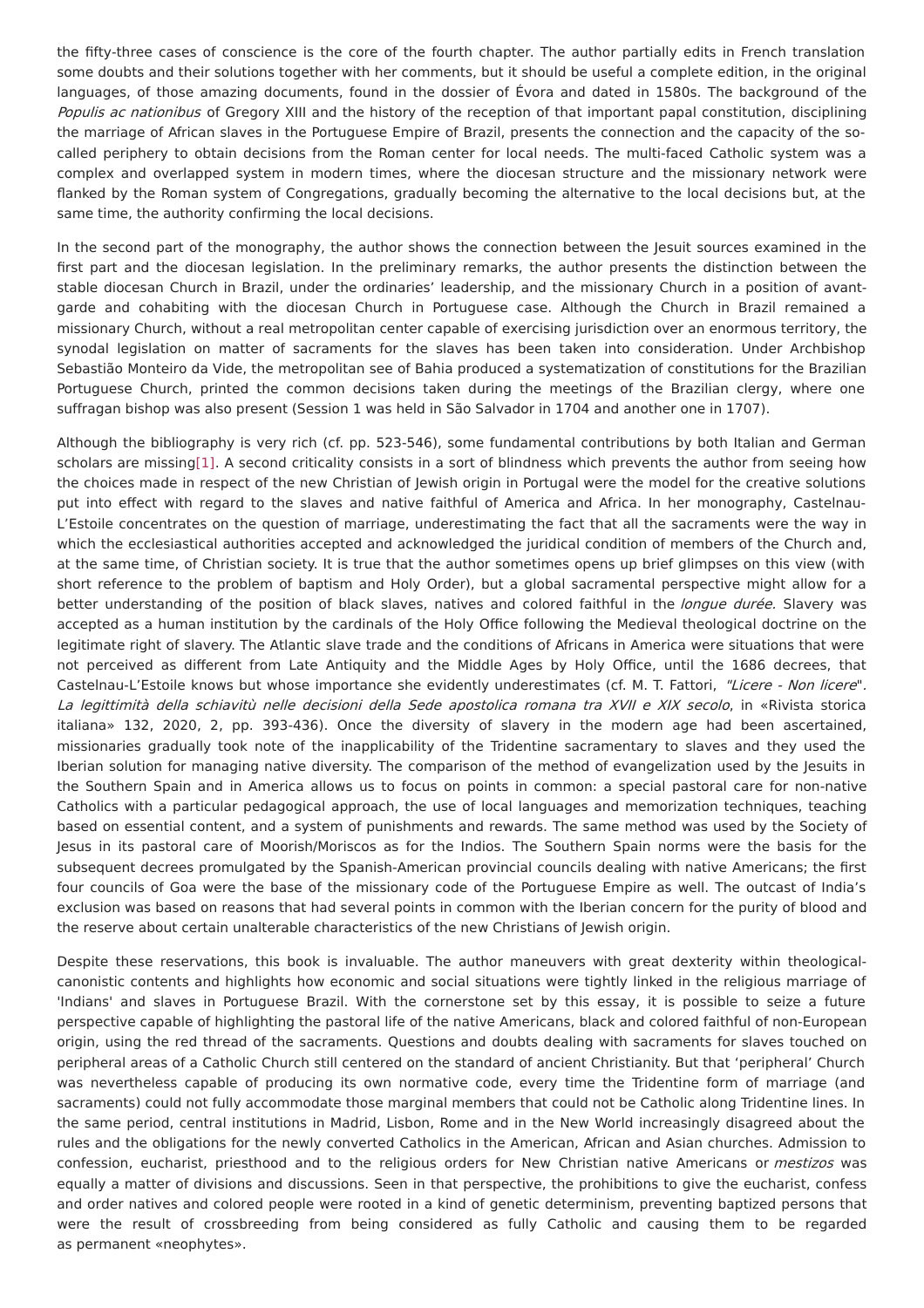the fifty-three cases of conscience is the core of the fourth chapter. The author partially edits in French translation some doubts and their solutions together with her comments, but it should be useful a complete edition, in the original languages, of those amazing documents, found in the dossier of Évora and dated in 1580s. The background of the Populis ac nationibus of Gregory XIII and the history of the reception of that important papal constitution, disciplining the marriage of African slaves in the Portuguese Empire of Brazil, presents the connection and the capacity of the socalled periphery to obtain decisions from the Roman center for local needs. The multi-faced Catholic system was a complex and overlapped system in modern times, where the diocesan structure and the missionary network were flanked by the Roman system of Congregations, gradually becoming the alternative to the local decisions but, at the same time, the authority confirming the local decisions.

In the second part of the monography, the author shows the connection between the Jesuit sources examined in the first part and the diocesan legislation. In the preliminary remarks, the author presents the distinction between the stable diocesan Church in Brazil, under the ordinaries' leadership, and the missionary Church in a position of avantgarde and cohabiting with the diocesan Church in Portuguese case. Although the Church in Brazil remained a missionary Church, without a real metropolitan center capable of exercising jurisdiction over an enormous territory, the synodal legislation on matter of sacraments for the slaves has been taken into consideration. Under Archbishop Sebastião Monteiro da Vide, the metropolitan see of Bahia produced a systematization of constitutions for the Brazilian Portuguese Church, printed the common decisions taken during the meetings of the Brazilian clergy, where one suffragan bishop was also present (Session 1 was held in São Salvador in 1704 and another one in 1707).

<span id="page-2-0"></span>Although the bibliography is very rich (cf. pp. 523-546), some fundamental contributions by both Italian and German scholars are missin[g\[1\]](#page-3-0). A second criticality consists in a sort of blindness which prevents the author from seeing how the choices made in respect of the new Christian of Jewish origin in Portugal were the model for the creative solutions put into effect with regard to the slaves and native faithful of America and Africa. In her monography, Castelnau-L'Estoile concentrates on the question of marriage, underestimating the fact that all the sacraments were the way in which the ecclesiastical authorities accepted and acknowledged the juridical condition of members of the Church and, at the same time, of Christian society. It is true that the author sometimes opens up brief glimpses on this view (with short reference to the problem of baptism and Holy Order), but a global sacramental perspective might allow for a better understanding of the position of black slaves, natives and colored faithful in the longue durée. Slavery was accepted as a human institution by the cardinals of the Holy Office following the Medieval theological doctrine on the legitimate right of slavery. The Atlantic slave trade and the conditions of Africans in America were situations that were not perceived as different from Late Antiquity and the Middle Ages by Holy Office, until the 1686 decrees, that Castelnau-L'Estoile knows but whose importance she evidently underestimates (cf. M. T. Fattori, "Licere - Non licere". La legittimità della schiavitù nelle decisioni della Sede apostolica romana tra XVII e XIX secolo, in «Rivista storica italiana» 132, 2020, 2, pp. 393-436). Once the diversity of slavery in the modern age had been ascertained, missionaries gradually took note of the inapplicability of the Tridentine sacramentary to slaves and they used the Iberian solution for managing native diversity. The comparison of the method of evangelization used by the Jesuits in the Southern Spain and in America allows us to focus on points in common: a special pastoral care for non-native Catholics with a particular pedagogical approach, the use of local languages and memorization techniques, teaching based on essential content, and a system of punishments and rewards. The same method was used by the Society of Jesus in its pastoral care of Moorish/Moriscos as for the Indios. The Southern Spain norms were the basis for the subsequent decrees promulgated by the Spanish-American provincial councils dealing with native Americans; the first four councils of Goa were the base of the missionary code of the Portuguese Empire as well. The outcast of India's exclusion was based on reasons that had several points in common with the Iberian concern for the purity of blood and the reserve about certain unalterable characteristics of the new Christians of Jewish origin.

Despite these reservations, this book is invaluable. The author maneuvers with great dexterity within theologicalcanonistic contents and highlights how economic and social situations were tightly linked in the religious marriage of 'Indians' and slaves in Portuguese Brazil. With the cornerstone set by this essay, it is possible to seize a future perspective capable of highlighting the pastoral life of the native Americans, black and colored faithful of non-European origin, using the red thread of the sacraments. Questions and doubts dealing with sacraments for slaves touched on peripheral areas of a Catholic Church still centered on the standard of ancient Christianity. But that 'peripheral' Church was nevertheless capable of producing its own normative code, every time the Tridentine form of marriage (and sacraments) could not fully accommodate those marginal members that could not be Catholic along Tridentine lines. In the same period, central institutions in Madrid, Lisbon, Rome and in the New World increasingly disagreed about the rules and the obligations for the newly converted Catholics in the American, African and Asian churches. Admission to confession, eucharist, priesthood and to the religious orders for New Christian native Americans or mestizos was equally a matter of divisions and discussions. Seen in that perspective, the prohibitions to give the eucharist, confess and order natives and colored people were rooted in a kind of genetic determinism, preventing baptized persons that were the result of crossbreeding from being considered as fully Catholic and causing them to be regarded as permanent «neophytes».